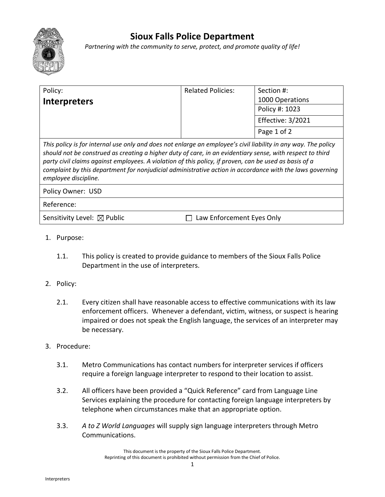

## **Sioux Falls Police Department**

*Partnering with the community to serve, protect, and promote quality of life!*

| Policy:                                                                                                                                                                                                                                                                                                                                                                                                                                                                   | <b>Related Policies:</b> | Section #:        |
|---------------------------------------------------------------------------------------------------------------------------------------------------------------------------------------------------------------------------------------------------------------------------------------------------------------------------------------------------------------------------------------------------------------------------------------------------------------------------|--------------------------|-------------------|
| <b>Interpreters</b>                                                                                                                                                                                                                                                                                                                                                                                                                                                       |                          | 1000 Operations   |
|                                                                                                                                                                                                                                                                                                                                                                                                                                                                           |                          | Policy #: 1023    |
|                                                                                                                                                                                                                                                                                                                                                                                                                                                                           |                          | Effective: 3/2021 |
|                                                                                                                                                                                                                                                                                                                                                                                                                                                                           |                          | Page 1 of 2       |
| This policy is for internal use only and does not enlarge an employee's civil liability in any way. The policy<br>should not be construed as creating a higher duty of care, in an evidentiary sense, with respect to third<br>party civil claims against employees. A violation of this policy, if proven, can be used as basis of a<br>complaint by this department for nonjudicial administrative action in accordance with the laws governing<br>employee discipline. |                          |                   |
| Policy Owner: USD                                                                                                                                                                                                                                                                                                                                                                                                                                                         |                          |                   |
| Reference:                                                                                                                                                                                                                                                                                                                                                                                                                                                                |                          |                   |
| Sensitivity Level: $\boxtimes$ Public<br>Law Enforcement Eyes Only                                                                                                                                                                                                                                                                                                                                                                                                        |                          |                   |

- 1. Purpose:
	- 1.1. This policy is created to provide guidance to members of the Sioux Falls Police Department in the use of interpreters.
- 2. Policy:
	- 2.1. Every citizen shall have reasonable access to effective communications with its law enforcement officers. Whenever a defendant, victim, witness, or suspect is hearing impaired or does not speak the English language, the services of an interpreter may be necessary.
- 3. Procedure:
	- 3.1. Metro Communications has contact numbers for interpreter services if officers require a foreign language interpreter to respond to their location to assist.
	- 3.2. All officers have been provided a "Quick Reference" card from Language Line Services explaining the procedure for contacting foreign language interpreters by telephone when circumstances make that an appropriate option.
	- 3.3. *A to Z World Languages* will supply sign language interpreters through Metro Communications.

This document is the property of the Sioux Falls Police Department. Reprinting of this document is prohibited without permission from the Chief of Police.